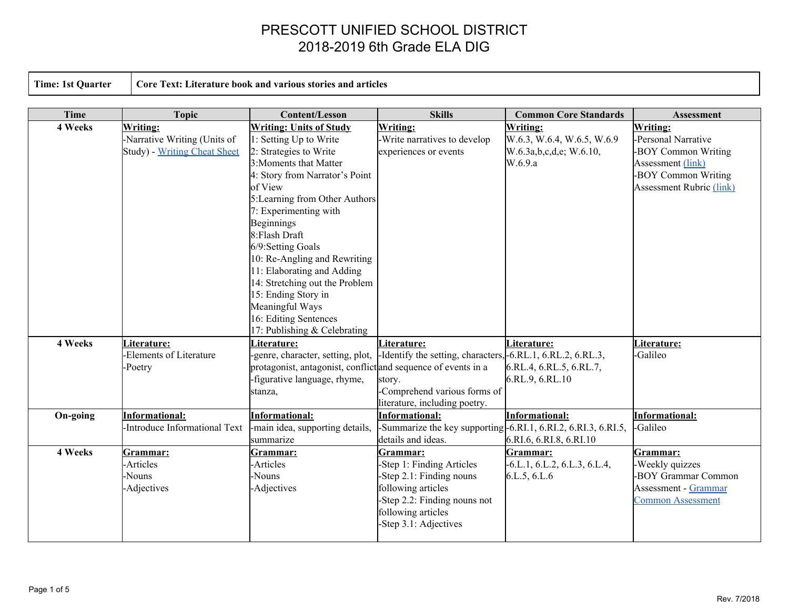**Time: 1st Quarter Core Text: Literature book and various stories and articles**

| <b>Time</b> | <b>Topic</b>                         | <b>Content/Lesson</b>                                                                         | <b>Skills</b>                                                   | <b>Common Core Standards</b>               | <b>Assessment</b>               |
|-------------|--------------------------------------|-----------------------------------------------------------------------------------------------|-----------------------------------------------------------------|--------------------------------------------|---------------------------------|
| 4 Weeks     | <b>Writing:</b>                      | <b>Writing: Units of Study</b>                                                                | <b>Writing:</b>                                                 | <b>Writing:</b>                            | Writing:                        |
|             | -Narrative Writing (Units of         | 1: Setting Up to Write                                                                        | -Write narratives to develop                                    | W.6.3, W.6.4, W.6.5, W.6.9                 | -Personal Narrative             |
|             | <b>Study</b> ) - Writing Cheat Sheet | 2: Strategies to Write                                                                        | experiences or events                                           | W.6.3a,b,c,d,e; W.6.10,                    | -BOY Common Writing             |
|             |                                      | 3: Moments that Matter                                                                        |                                                                 | W.6.9.a                                    | Assessment (link)               |
|             |                                      | 4: Story from Narrator's Point                                                                |                                                                 |                                            | -BOY Common Writing             |
|             |                                      | of View                                                                                       |                                                                 |                                            | <b>Assessment Rubric (link)</b> |
|             |                                      | 5: Learning from Other Authors                                                                |                                                                 |                                            |                                 |
|             |                                      | 7: Experimenting with                                                                         |                                                                 |                                            |                                 |
|             |                                      | <b>Beginnings</b>                                                                             |                                                                 |                                            |                                 |
|             |                                      | 8:Flash Draft                                                                                 |                                                                 |                                            |                                 |
|             |                                      | 6/9:Setting Goals                                                                             |                                                                 |                                            |                                 |
|             |                                      | 10: Re-Angling and Rewriting                                                                  |                                                                 |                                            |                                 |
|             |                                      | 11: Elaborating and Adding                                                                    |                                                                 |                                            |                                 |
|             |                                      | 14: Stretching out the Problem                                                                |                                                                 |                                            |                                 |
|             |                                      | 15: Ending Story in                                                                           |                                                                 |                                            |                                 |
|             |                                      | Meaningful Ways                                                                               |                                                                 |                                            |                                 |
|             |                                      | 16: Editing Sentences                                                                         |                                                                 |                                            |                                 |
|             |                                      | 17: Publishing & Celebrating                                                                  |                                                                 |                                            |                                 |
| 4 Weeks     | Literature:                          | Literature:                                                                                   | Literature:                                                     | Literature:                                | Literature:                     |
|             | -Elements of Literature              | -genre, character, setting, plot,                                                             | -Identify the setting, characters, -6.RL.1, 6.RL.2, 6.RL.3,     |                                            | -Galileo                        |
|             | -Poetry                              | protagonist, antagonist, conflict and sequence of events in a<br>-figurative language, rhyme, |                                                                 | 6.RL.4, 6.RL.5, 6.RL.7,<br>6.RL.9, 6.RL.10 |                                 |
|             |                                      |                                                                                               | story.<br>-Comprehend various forms of                          |                                            |                                 |
|             |                                      | stanza,                                                                                       | literature, including poetry.                                   |                                            |                                 |
| On-going    | <b>Informational:</b>                | <b>Informational:</b>                                                                         | Informational:                                                  | <b>Informational:</b>                      | <b>Informational:</b>           |
|             | -Introduce Informational Text        | -main idea, supporting details,                                                               | -Summarize the key supporting - 6.RI.1, 6.RI.2, 6.RI.3, 6.RI.5, |                                            | -Galileo                        |
|             |                                      | summarize                                                                                     | details and ideas.                                              | 6.RI.6, 6.RI.8, 6.RI.10                    |                                 |
| 4 Weeks     | Grammar:                             | Grammar:                                                                                      | Grammar:                                                        | Grammar:                                   | Grammar:                        |
|             | -Articles                            | -Articles                                                                                     | -Step 1: Finding Articles                                       | $-6.L.1, 6.L.2, 6.L.3, 6.L.4,$             | -Weekly quizzes                 |
|             | -Nouns                               | -Nouns                                                                                        | -Step 2.1: Finding nouns                                        | 6.L.5, 6.L.6                               | -BOY Grammar Common             |
|             | -Adjectives                          | -Adjectives                                                                                   | following articles                                              |                                            | Assessment - Grammar            |
|             |                                      |                                                                                               | -Step 2.2: Finding nouns not                                    |                                            | <b>Common Assessment</b>        |
|             |                                      |                                                                                               | following articles                                              |                                            |                                 |
|             |                                      |                                                                                               | -Step 3.1: Adjectives                                           |                                            |                                 |
|             |                                      |                                                                                               |                                                                 |                                            |                                 |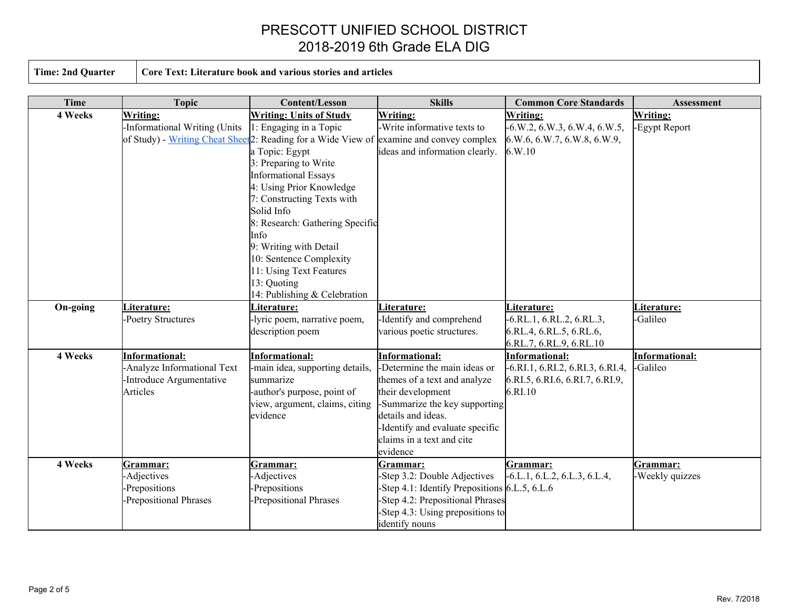|  |  | <b>Time: 2nd Quarter</b> |
|--|--|--------------------------|
|--|--|--------------------------|

**Time: 2nd Quarter Core Text: Literature book and various stories and articles**

| <b>Time</b> | <b>Topic</b>                  | <b>Content/Lesson</b>                                                                                | <b>Skills</b>                                   | <b>Common Core Standards</b>       | Assessment            |
|-------------|-------------------------------|------------------------------------------------------------------------------------------------------|-------------------------------------------------|------------------------------------|-----------------------|
| 4 Weeks     | Writing:                      | <b>Writing: Units of Study</b>                                                                       | Writing:                                        | Writing:                           | Writing:              |
|             | -Informational Writing (Units | 1: Engaging in a Topic                                                                               | -Write informative texts to                     | $-6. W.2, 6. W.3, 6. W.4, 6. W.5,$ | -Egypt Report         |
|             |                               | of Study) - Writing Cheat Sheet <sup>2</sup> : Reading for a Wide View of examine and convey complex |                                                 | 6.W.6, 6.W.7, 6.W.8, 6.W.9,        |                       |
|             |                               | a Topic: Egypt                                                                                       | ideas and information clearly.                  | 6.W.10                             |                       |
|             |                               | 3: Preparing to Write                                                                                |                                                 |                                    |                       |
|             |                               | <b>Informational Essays</b>                                                                          |                                                 |                                    |                       |
|             |                               | 4: Using Prior Knowledge                                                                             |                                                 |                                    |                       |
|             |                               | 7: Constructing Texts with                                                                           |                                                 |                                    |                       |
|             |                               | Solid Info                                                                                           |                                                 |                                    |                       |
|             |                               | 8: Research: Gathering Specific                                                                      |                                                 |                                    |                       |
|             |                               | Info                                                                                                 |                                                 |                                    |                       |
|             |                               | 9: Writing with Detail                                                                               |                                                 |                                    |                       |
|             |                               | 10: Sentence Complexity                                                                              |                                                 |                                    |                       |
|             |                               | 11: Using Text Features                                                                              |                                                 |                                    |                       |
|             |                               | 13: Quoting                                                                                          |                                                 |                                    |                       |
|             |                               | 14: Publishing & Celebration                                                                         |                                                 |                                    |                       |
| On-going    | Literature:                   | Literature:                                                                                          | Literature:                                     | Literature:                        | Literature:           |
|             | -Poetry Structures            | -lyric poem, narrative poem,                                                                         | Identify and comprehend                         | $-6.RL.1, 6.RL.2, 6.RL.3,$         | -Galileo              |
|             |                               | description poem                                                                                     | various poetic structures.                      | 6.RL.4, 6.RL.5, 6.RL.6,            |                       |
|             |                               |                                                                                                      |                                                 | 6.RL.7, 6.RL.9, 6.RL.10            |                       |
| 4 Weeks     | <b>Informational:</b>         | <b>Informational:</b>                                                                                | <b>Informational:</b>                           | <b>Informational:</b>              | <b>Informational:</b> |
|             | -Analyze Informational Text   | -main idea, supporting details,                                                                      | -Determine the main ideas or                    | -6.RI.1, 6.RI.2, 6.RI.3, 6.RI.4,   | -Galileo              |
|             | -Introduce Argumentative      | summarize                                                                                            | themes of a text and analyze                    | 6.RI.5, 6.RI.6, 6.RI.7, 6.RI.9,    |                       |
|             | Articles                      | -author's purpose, point of                                                                          | their development                               | 6.RI.10                            |                       |
|             |                               | view, argument, claims, citing                                                                       | -Summarize the key supporting                   |                                    |                       |
|             |                               | evidence                                                                                             | details and ideas.                              |                                    |                       |
|             |                               |                                                                                                      | Identify and evaluate specific                  |                                    |                       |
|             |                               |                                                                                                      | claims in a text and cite                       |                                    |                       |
|             |                               |                                                                                                      | evidence                                        |                                    |                       |
| 4 Weeks     | Grammar:                      | <u>Grammar:</u>                                                                                      | Grammar:                                        | Grammar:                           | Grammar:              |
|             | -Adjectives                   | -Adjectives                                                                                          | -Step 3.2: Double Adjectives                    | $-6.L.1, 6.L.2, 6.L.3, 6.L.4,$     | -Weekly quizzes       |
|             | -Prepositions                 | -Prepositions                                                                                        | -Step 4.1: Identify Prepositions $6.L.5, 6.L.6$ |                                    |                       |
|             | -Prepositional Phrases        | -Prepositional Phrases                                                                               | Step 4.2: Prepositional Phrases                 |                                    |                       |
|             |                               |                                                                                                      | -Step 4.3: Using prepositions to                |                                    |                       |
|             |                               |                                                                                                      | identify nouns                                  |                                    |                       |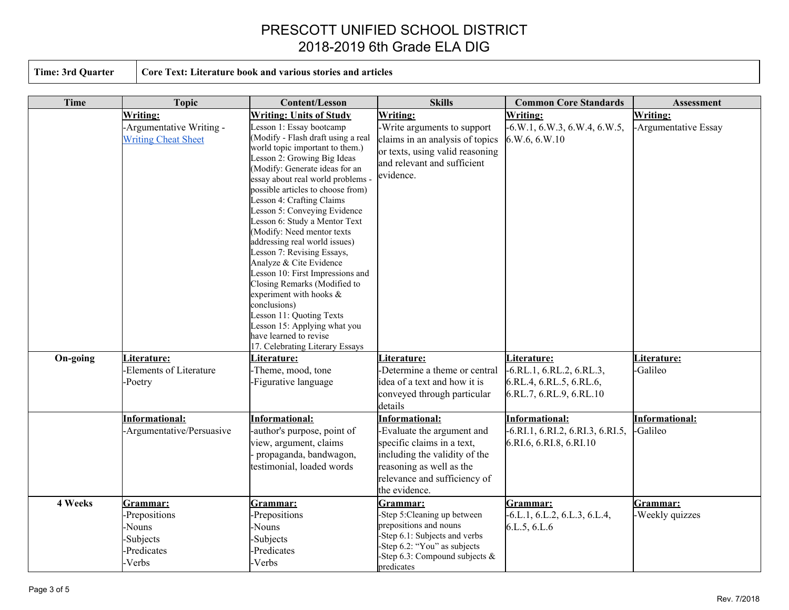**Time: 3rd Quarter Core Text: Literature book and various stories and articles**

| <b>Time</b> | <b>Topic</b>                                                              | <b>Content/Lesson</b>                                                                                                                                                                                                                                                                                                                                                                                                                                                                                                                                                                                                                                                      | <b>Skills</b>                                                                                                                                                                                   | <b>Common Core Standards</b>                                                                    | Assessment                  |
|-------------|---------------------------------------------------------------------------|----------------------------------------------------------------------------------------------------------------------------------------------------------------------------------------------------------------------------------------------------------------------------------------------------------------------------------------------------------------------------------------------------------------------------------------------------------------------------------------------------------------------------------------------------------------------------------------------------------------------------------------------------------------------------|-------------------------------------------------------------------------------------------------------------------------------------------------------------------------------------------------|-------------------------------------------------------------------------------------------------|-----------------------------|
|             | Writing:                                                                  | <b>Writing: Units of Study</b>                                                                                                                                                                                                                                                                                                                                                                                                                                                                                                                                                                                                                                             | Writing:                                                                                                                                                                                        | Writing:                                                                                        | Writing:                    |
|             | -Argumentative Writing -<br><b>Writing Cheat Sheet</b>                    | Lesson 1: Essay bootcamp<br>(Modify - Flash draft using a real<br>world topic important to them.)<br>Lesson 2: Growing Big Ideas<br>(Modify: Generate ideas for an<br>essay about real world problems -<br>possible articles to choose from)<br>Lesson 4: Crafting Claims<br>Lesson 5: Conveying Evidence<br>Lesson 6: Study a Mentor Text<br>(Modify: Need mentor texts<br>addressing real world issues)<br>Lesson 7: Revising Essays,<br>Analyze & Cite Evidence<br>Lesson 10: First Impressions and<br>Closing Remarks (Modified to<br>experiment with hooks $\&$<br>conclusions)<br>Lesson 11: Quoting Texts<br>Lesson 15: Applying what you<br>have learned to revise | -Write arguments to support<br>claims in an analysis of topics<br>or texts, using valid reasoning<br>and relevant and sufficient<br>evidence.                                                   | $-6. W.1, 6. W.3, 6. W.4, 6. W.5,$<br>6.W.6, 6.W.10                                             | -Argumentative Essay        |
| On-going    | Literature:<br>-Elements of Literature<br>-Poetry                         | 17. Celebrating Literary Essays<br>Literature:<br>-Theme, mood, tone<br>Figurative language                                                                                                                                                                                                                                                                                                                                                                                                                                                                                                                                                                                | Literature:<br>-Determine a theme or central<br>idea of a text and how it is<br>conveyed through particular                                                                                     | Literature:<br>$-6.RL.1, 6.RL.2, 6.RL.3,$<br>6.RL.4, 6.RL.5, 6.RL.6,<br>6.RL.7, 6.RL.9, 6.RL.10 | Literature:<br>-Galileo     |
|             | <b>Informational:</b>                                                     |                                                                                                                                                                                                                                                                                                                                                                                                                                                                                                                                                                                                                                                                            | details                                                                                                                                                                                         | <b>Informational:</b>                                                                           | Informational:              |
|             | -Argumentative/Persuasive                                                 | <b>Informational:</b><br>-author's purpose, point of<br>view, argument, claims<br>propaganda, bandwagon,<br>testimonial, loaded words                                                                                                                                                                                                                                                                                                                                                                                                                                                                                                                                      | <b>Informational:</b><br>-Evaluate the argument and<br>specific claims in a text,<br>including the validity of the<br>reasoning as well as the<br>relevance and sufficiency of<br>the evidence. | $-6.RI.1, 6.RI.2, 6.RI.3, 6.RI.5,$<br>6.RI.6, 6.RI.8, 6.RI.10                                   | -Galileo                    |
| 4 Weeks     | Grammar:<br>-Prepositions<br>-Nouns<br>-Subjects<br>-Predicates<br>-Verbs | Grammar:<br>Prepositions<br>Nouns-<br>-Subjects<br>-Predicates<br>-Verbs                                                                                                                                                                                                                                                                                                                                                                                                                                                                                                                                                                                                   | Grammar:<br>-Step 5: Cleaning up between<br>prepositions and nouns<br>-Step 6.1: Subjects and verbs<br>-Step 6.2: "You" as subjects<br>-Step 6.3: Compound subjects $\&$<br>predicates          | Grammar:<br>$-6.L.1, 6.L.2, 6.L.3, 6.L.4,$<br>6.L.5, 6.L.6                                      | Grammar:<br>-Weekly quizzes |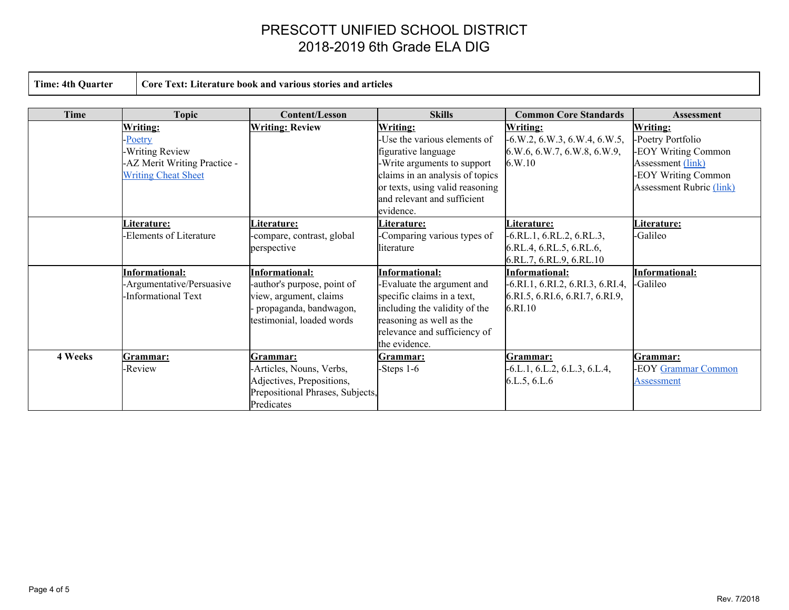**Time: 4th Quarter Core Text: Literature book and various stories and articles**

| Time    | <b>Topic</b>                                                                                                      | <b>Content/Lesson</b>                                                                                                                 | <b>Skills</b>                                                                                                                                                                                              | <b>Common Core Standards</b>                                                                           | <b>Assessment</b>                                                                                                                          |
|---------|-------------------------------------------------------------------------------------------------------------------|---------------------------------------------------------------------------------------------------------------------------------------|------------------------------------------------------------------------------------------------------------------------------------------------------------------------------------------------------------|--------------------------------------------------------------------------------------------------------|--------------------------------------------------------------------------------------------------------------------------------------------|
|         | <b>Writing:</b><br>-Poetry<br><b>Writing Review</b><br>-AZ Merit Writing Practice -<br><b>Writing Cheat Sheet</b> | <b>Writing: Review</b>                                                                                                                | <b>Writing:</b><br>-Use the various elements of<br>figurative language<br>-Write arguments to support<br>claims in an analysis of topics<br>or texts, using valid reasoning<br>and relevant and sufficient | <b>Writing:</b><br>$-6. W.2, 6. W.3, 6. W.4, 6. W.5,$<br>6. W.6, 6. W.7, 6. W.8, 6. W.9,<br>6. W.10    | <b>Writing:</b><br>-Poetry Portfolio<br>-EOY Writing Common<br>Assessment (link)<br>-EOY Writing Common<br><b>Assessment Rubric (link)</b> |
|         | <u>Literature:</u><br>Elements of Literature                                                                      | <u>Literature:</u><br>-compare, contrast, global<br>perspective                                                                       | evidence.<br>Literature:<br>-Comparing various types of<br>literature                                                                                                                                      | Literature:<br>$-6.RL.1, 6.RL.2, 6.RL.3,$<br>6.RL.4, 6.RL.5, 6.RL.6,<br>6.RL.7, 6.RL.9, 6.RL.10        | Literature:<br>-Galileo                                                                                                                    |
|         | <b>Informational:</b><br>-Argumentative/Persuasive<br>Informational Text                                          | <b>Informational:</b><br>-author's purpose, point of<br>view, argument, claims<br>propaganda, bandwagon,<br>testimonial, loaded words | <b>Informational:</b><br>-Evaluate the argument and<br>specific claims in a text,<br>including the validity of the<br>reasoning as well as the<br>relevance and sufficiency of<br>the evidence.            | Informational:<br>$-6. R1.1, 6. R1.2, 6. R1.3, 6. R1.4,$<br>6.RI.5, 6.RI.6, 6.RI.7, 6.RI.9,<br>6.RI.10 | <b>Informational:</b><br>-Galileo                                                                                                          |
| 4 Weeks | Grammar:<br><b>Review</b>                                                                                         | Grammar:<br>-Articles, Nouns, Verbs,<br>Adjectives, Prepositions,<br>Prepositional Phrases, Subjects,<br>Predicates                   | Grammar:<br>-Steps $1-6$                                                                                                                                                                                   | Grammar:<br>$-6.L.1, 6.L.2, 6.L.3, 6.L.4,$<br>6.L.5, 6.L.6                                             | Grammar:<br><b>EOY</b> Grammar Common<br>Assessment                                                                                        |